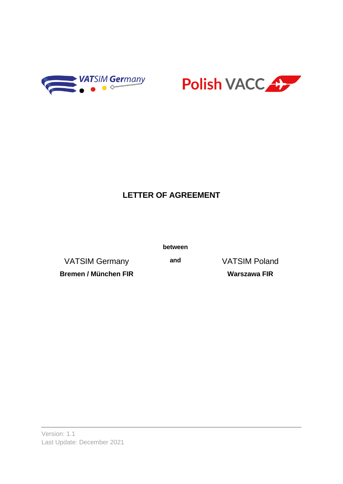



# **LETTER OF AGREEMENT**

**between**

VATSIM Germany **and** VATSIM Poland

**Bremen / München FIR Warszawa FIR**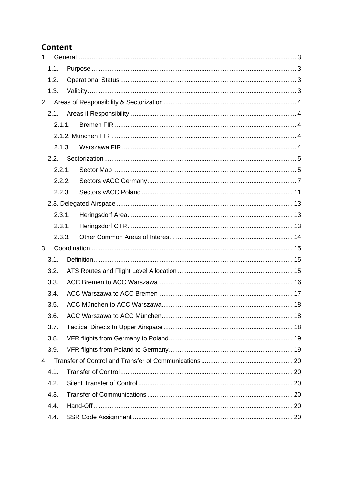### Content

| 1. |        |  |  |
|----|--------|--|--|
|    | 1.1.   |  |  |
|    | 1.2.   |  |  |
|    | 1.3.   |  |  |
| 2. |        |  |  |
|    | 2.1.   |  |  |
|    | 2.1.1. |  |  |
|    |        |  |  |
|    | 2.1.3. |  |  |
|    | 2.2.   |  |  |
|    | 2.2.1. |  |  |
|    | 2.2.2. |  |  |
|    | 2.2.3. |  |  |
|    |        |  |  |
|    | 2.3.1. |  |  |
|    | 2.3.1. |  |  |
|    | 2.3.3. |  |  |
| 3. |        |  |  |
|    | 3.1.   |  |  |
|    | 3.2.   |  |  |
|    | 3.3.   |  |  |
|    | 3.4.   |  |  |
|    | 3.5.   |  |  |
|    | 3.6.   |  |  |
|    | 3.7.   |  |  |
|    | 3.8.   |  |  |
|    | 3.9.   |  |  |
| 4. |        |  |  |
|    | 4.1.   |  |  |
|    | 4.2.   |  |  |
|    | 4.3.   |  |  |
|    | 4.4.   |  |  |
|    | 4.4.   |  |  |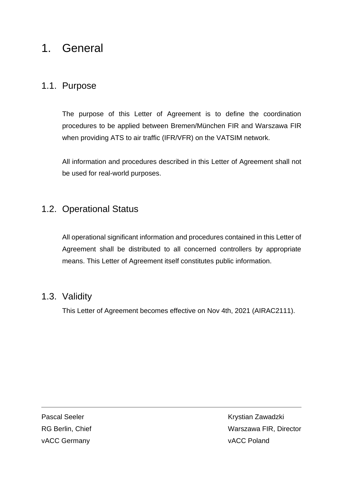# <span id="page-2-0"></span>1. General

### <span id="page-2-1"></span>1.1. Purpose

The purpose of this Letter of Agreement is to define the coordination procedures to be applied between Bremen/München FIR and Warszawa FIR when providing ATS to air traffic (IFR/VFR) on the VATSIM network.

All information and procedures described in this Letter of Agreement shall not be used for real-world purposes.

# <span id="page-2-2"></span>1.2. Operational Status

All operational significant information and procedures contained in this Letter of Agreement shall be distributed to all concerned controllers by appropriate means. This Letter of Agreement itself constitutes public information.

### <span id="page-2-3"></span>1.3. Validity

This Letter of Agreement becomes effective on Nov 4th, 2021 (AIRAC2111).

vACC Germany vacces and the value of the value of the value of the value of the value of the value of the value of the value of the value of the value of the value of the value of the value of the value of the value of the

Pascal Seeler **Krystian Zawadzki** RG Berlin, Chief Warszawa FIR, Director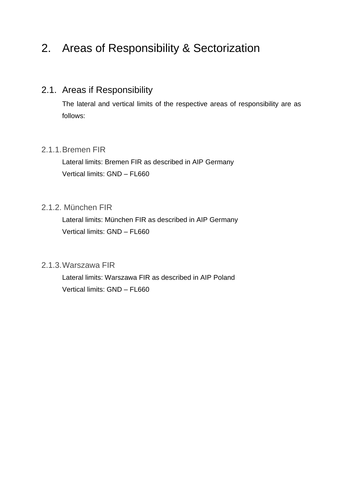# <span id="page-3-0"></span>2. Areas of Responsibility & Sectorization

# <span id="page-3-1"></span>2.1. Areas if Responsibility

The lateral and vertical limits of the respective areas of responsibility are as follows:

#### <span id="page-3-2"></span>2.1.1.Bremen FIR

Lateral limits: Bremen FIR as described in AIP Germany Vertical limits: GND – FL660

#### <span id="page-3-3"></span>2.1.2. München FIR

Lateral limits: München FIR as described in AIP Germany Vertical limits: GND – FL660

#### <span id="page-3-4"></span>2.1.3.Warszawa FIR

Lateral limits: Warszawa FIR as described in AIP Poland Vertical limits: GND – FL660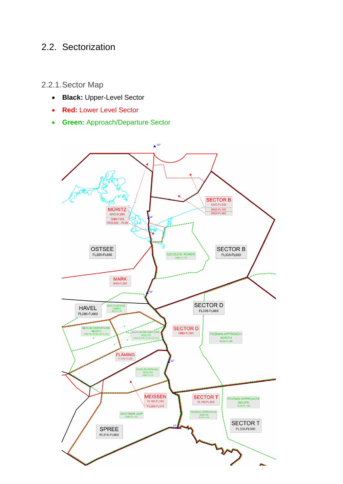## <span id="page-4-0"></span>2.2. Sectorization

<span id="page-4-1"></span>2.2.1.Sector Map

- **Black:** Upper-Level Sector
- **Red:** Lower Level Sector
- **Green:** Approach/Departure Sector

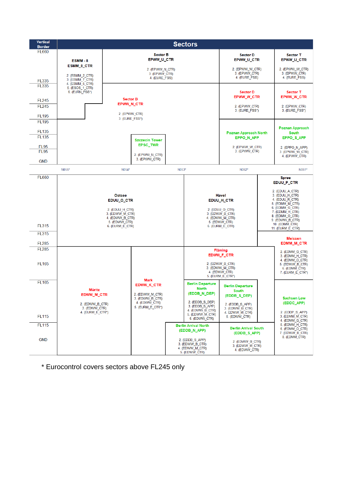

\* Eurocontrol covers sectors above FL245 only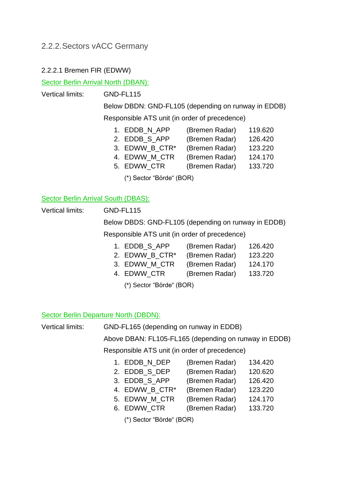#### <span id="page-6-0"></span>2.2.2.Sectors vACC Germany

#### 2.2.2.1 Bremen FIR (EDWW)

Sector Berlin Arrival North (DBAN):

Vertical limits: GND-FL115

Below DBDN: GND-FL105 (depending on runway in EDDB) Responsible ATS unit (in order of precedence)

- 1. EDDB N APP (Bremen Radar) 119.620
- 2. EDDB\_S\_APP (Bremen Radar) 126.420
- 3. EDWW B CTR<sup>\*</sup> (Bremen Radar) 123.220
- 4. EDWW\_M\_CTR (Bremen Radar) 124.170
- 5. EDWW\_CTR (Bremen Radar) 133.720

(\*) Sector "Börde" (BOR)

#### Sector Berlin Arrival South (DBAS):

Vertical limits: GND-FL115

Below DBDS: GND-FL105 (depending on runway in EDDB) Responsible ATS unit (in order of precedence)

| 1. EDDB S APP              | (Bremen Radar) | 126.420 |
|----------------------------|----------------|---------|
| 2. EDWW B CTR <sup>*</sup> | (Bremen Radar) | 123,220 |

- 3. EDWW\_M\_CTR (Bremen Radar) 124.170
- 4. EDWW\_CTR (Bremen Radar) 133.720
	- (\*) Sector "Börde" (BOR)

#### Sector Berlin Departure North (DBDN):

Vertical limits: GND-FL165 (depending on runway in EDDB)

Above DBAN: FL105-FL165 (depending on runway in EDDB)

Responsible ATS unit (in order of precedence)

| 1. EDDB N DEP | (Bremen Radar) | 134.420 |
|---------------|----------------|---------|
| 2. EDDB S DEP | (Bremen Radar) | 120.620 |

- 3. EDDB S APP (Bremen Radar) 126.420
- 4. EDWW B CTR<sup>\*</sup> (Bremen Radar) 123.220
- 5. EDWW\_M\_CTR (Bremen Radar) 124.170
- 6. EDWW\_CTR (Bremen Radar) 133.720
	- (\*) Sector "Börde" (BOR)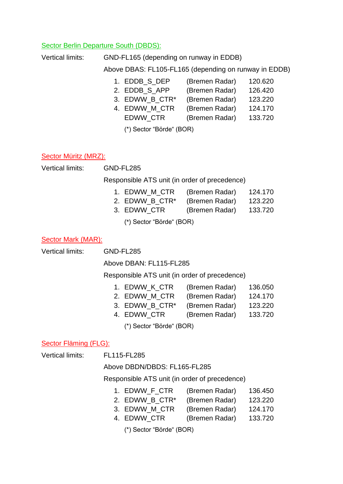#### Sector Berlin Departure South (DBDS):

| Vertical limits: | GND-FL165 (depending on runway in EDDB)               |                |         |  |  |
|------------------|-------------------------------------------------------|----------------|---------|--|--|
|                  | Above DBAS: FL105-FL165 (depending on runway in EDDB) |                |         |  |  |
|                  | 1. EDDB S DEP                                         | (Bremen Radar) | 120.620 |  |  |
|                  | 2. EDDB S APP                                         | (Bremen Radar) | 126.420 |  |  |
|                  | 3 EDIMAN R CTD*                                       | (Bromon Dodor) | 123.220 |  |  |

3. EDWW\_B\_CTR\* (Bremen Radar) 123.220 4. EDWW M CTR (Bremen Radar) 124.170

EDWW\_CTR (Bremen Radar) 133.720

(\*) Sector "Börde" (BOR)

#### Sector Müritz (MRZ):

Vertical limits: GND-FL285

Responsible ATS unit (in order of precedence)

- 1. EDWW M CTR (Bremen Radar) 124.170
- 2. EDWW B CTR<sup>\*</sup> (Bremen Radar) 123.220
- 3. EDWW\_CTR (Bremen Radar) 133.720

(\*) Sector "Börde" (BOR)

#### Sector Mark (MAR):

Vertical limits: GND-FL285

Above DBAN: FL115-FL285

Responsible ATS unit (in order of precedence)

- 1. EDWW K CTR (Bremen Radar) 136.050
- 2. EDWW M CTR (Bremen Radar) 124.170
- 3. EDWW B CTR<sup>\*</sup> (Bremen Radar) 123.220
- 4. EDWW\_CTR (Bremen Radar) 133.720

(\*) Sector "Börde" (BOR)

#### Sector Fläming (FLG):

Vertical limits: FL115-FL285

#### Above DBDN/DBDS: FL165-FL285

#### Responsible ATS unit (in order of precedence)

- 1. EDWW\_F\_CTR (Bremen Radar) 136.450
- 2. EDWW\_B\_CTR\* (Bremen Radar) 123.220
- 3. EDWW\_M\_CTR (Bremen Radar) 124.170
- 4. EDWW\_CTR (Bremen Radar) 133.720
	- (\*) Sector "Börde" (BOR)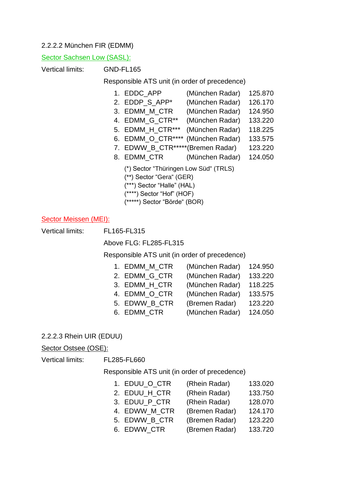#### 2.2.2.2 München FIR (EDMM)

#### Sector Sachsen Low (SASL):

Vertical limits: GND-FL165

#### Responsible ATS unit (in order of precedence)

| 1. EDDC_APP                      | (München Radar) | 125.870 |
|----------------------------------|-----------------|---------|
| 2. EDDP_S_APP*                   | (München Radar) | 126.170 |
| 3. EDMM_M_CTR                    | (München Radar) | 124.950 |
| 4. EDMM_G_CTR**                  | (München Radar) | 133.220 |
| 5. EDMM_H_CTR***                 | (München Radar) | 118.225 |
| 6. EDMM_O_CTR****                | (München Radar) | 133.575 |
| 7. EDWW_B_CTR*****(Bremen Radar) |                 | 123.220 |

- 8. EDMM\_CTR (München Radar) 124.050
	- (\*) Sector "Thüringen Low Süd" (TRLS)
	- (\*\*) Sector "Gera" (GER)
	- (\*\*\*) Sector "Halle" (HAL)
	- (\*\*\*\*) Sector "Hof" (HOF)
	- (\*\*\*\*\*) Sector "Börde" (BOR)

#### Sector Meissen (MEI):

Vertical limits: FL165-FL315

Above FLG: FL285-FL315

Responsible ATS unit (in order of precedence)

| 1. EDMM M CTR | (München Radar) | 124.950 |
|---------------|-----------------|---------|
| 2. EDMM G CTR | (München Radar) | 133.220 |
| 3. EDMM H CTR | (München Radar) | 118.225 |
| 4. EDMM O CTR | (München Radar) | 133.575 |
| 5. EDWW B CTR | (Bremen Radar)  | 123.220 |
| 6. EDMM_CTR   | (München Radar) | 124.050 |

#### 2.2.2.3 Rhein UIR (EDUU)

#### Sector Ostsee (OSE):

Vertical limits: FL285-FL660

Responsible ATS unit (in order of precedence)

- 1. EDUU\_O\_CTR (Rhein Radar) 133.020
- 2. EDUU H CTR (Rhein Radar) 133.750
- 3. EDUU\_P\_CTR (Rhein Radar) 128.070
- 4. EDWW\_M\_CTR (Bremen Radar) 124.170
- 5. EDWW\_B\_CTR (Bremen Radar) 123.220
- 6. EDWW\_CTR (Bremen Radar) 133.720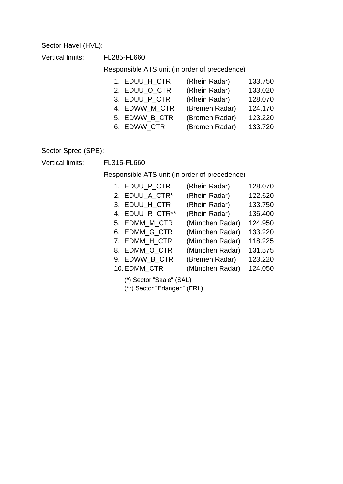#### Sector Havel (HVL):

Vertical limits: FL285-FL660

Responsible ATS unit (in order of precedence)

| 1. EDUU_H_CTR | (Rhein Radar)  | 133.750 |
|---------------|----------------|---------|
| 2. EDUU O CTR | (Rhein Radar)  | 133.020 |
| 3. EDUU P CTR | (Rhein Radar)  | 128.070 |
| 4. EDWW_M_CTR | (Bremen Radar) | 124.170 |
| 5. EDWW_B_CTR | (Bremen Radar) | 123.220 |
| 6. EDWW CTR   | (Bremen Radar) | 133.720 |

#### Sector Spree (SPE):

Vertical limits: FL315-FL660

Responsible ATS unit (in order of precedence)

| 1. EDUU P CTR            | (Rhein Radar)   | 128.070 |
|--------------------------|-----------------|---------|
| 2. EDUU_A_CTR*           | (Rhein Radar)   | 122.620 |
| 3. EDUU H CTR            | (Rhein Radar)   | 133.750 |
| 4. EDUU R CTR**          | (Rhein Radar)   | 136.400 |
| 5. EDMM_M_CTR            | (München Radar) | 124.950 |
| 6. EDMM G CTR            | (München Radar) | 133.220 |
| 7. EDMM_H_CTR            | (München Radar) | 118.225 |
| 8. EDMM O CTR            | (München Radar) | 131.575 |
| 9. EDWW_B_CTR            | (Bremen Radar)  | 123.220 |
| 10. EDMM CTR             | (München Radar) | 124.050 |
| (*) Sector "Saale" (SAL) |                 |         |

(\*\*) Sector "Erlangen" (ERL)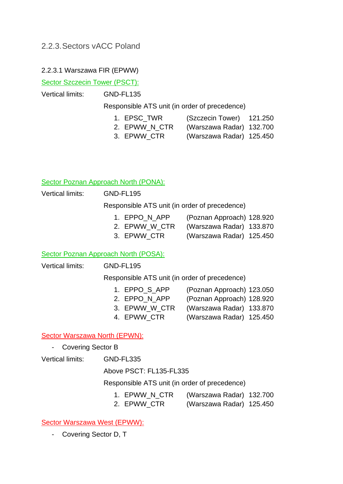#### <span id="page-10-0"></span>2.2.3.Sectors vACC Poland

#### 2.2.3.1 Warszawa FIR (EPWW)

Sector Szczecin Tower (PSCT):

Vertical limits: GND-FL135

Responsible ATS unit (in order of precedence)

- 1. EPSC\_TWR (Szczecin Tower) 121.250
- 2. EPWW\_N\_CTR (Warszawa Radar) 132.700
- 3. EPWW\_CTR (Warszawa Radar) 125.450

#### Sector Poznan Approach North (PONA):

Vertical limits: GND-FL195

Responsible ATS unit (in order of precedence)

- 1. EPPO N APP (Poznan Approach) 128.920
- 2. EPWW W CTR (Warszawa Radar) 133.870
- 3. EPWW\_CTR (Warszawa Radar) 125.450

#### Sector Poznan Approach North (POSA):

Vertical limits: GND-FL195

Responsible ATS unit (in order of precedence)

- 1. EPPO\_S\_APP (Poznan Approach) 123.050
- 2. EPPO N APP (Poznan Approach) 128.920
- 
- 3. EPWW\_W\_CTR (Warszawa Radar) 133.870
- 
- 4. EPWW\_CTR (Warszawa Radar) 125.450

#### Sector Warszawa North (EPWN):

Covering Sector B

Vertical limits: GND-FL335

Above PSCT: FL135-FL335

Responsible ATS unit (in order of precedence)

- 1. EPWW\_N\_CTR (Warszawa Radar) 132.700
- 2. EPWW\_CTR (Warszawa Radar) 125.450

Sector Warszawa West (EPWW):

- Covering Sector D, T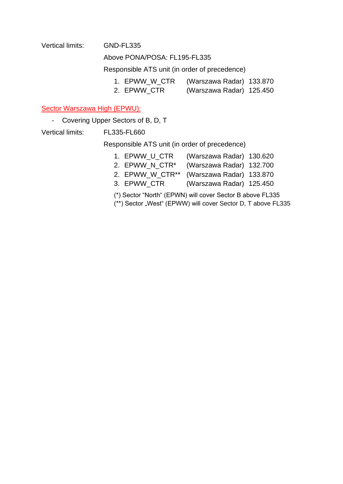#### Vertical limits: GND-FL335

Above PONA/POSA: FL195-FL335

Responsible ATS unit (in order of precedence)

- 1. EPWW\_W\_CTR (Warszawa Radar) 133.870
- 2. EPWW\_CTR (Warszawa Radar) 125.450

#### Sector Warszawa High (EPWU):

- Covering Upper Sectors of B, D, T

Vertical limits: FL335-FL660

Responsible ATS unit (in order of precedence)

| 1. EPWW_U_CTR  | (Warszawa Radar) 130.620                 |  |
|----------------|------------------------------------------|--|
| 2. EPWW_N_CTR* | (Warszawa Radar) 132.700                 |  |
|                | 2. EPWW_W_CTR** (Warszawa Radar) 133.870 |  |
| 3. EPWW CTR    | (Warszawa Radar) 125.450                 |  |
|                |                                          |  |

(\*) Sector "North" (EPWN) will cover Sector B above FL335

(\*\*) Sector "West" (EPWW) will cover Sector D, T above FL335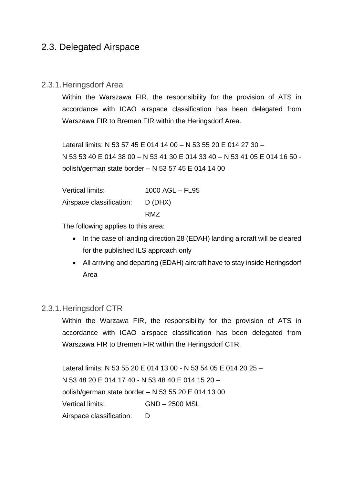### <span id="page-12-0"></span>2.3. Delegated Airspace

#### <span id="page-12-1"></span>2.3.1.Heringsdorf Area

Within the Warszawa FIR, the responsibility for the provision of ATS in accordance with ICAO airspace classification has been delegated from Warszawa FIR to Bremen FIR within the Heringsdorf Area.

Lateral limits: N 53 57 45 E 014 14 00 – N 53 55 20 E 014 27 30 – N 53 53 40 E 014 38 00 – N 53 41 30 E 014 33 40 – N 53 41 05 E 014 16 50 polish/german state border – N 53 57 45 E 014 14 00

| Vertical limits:                 | 1000 AGL - FL95 |
|----------------------------------|-----------------|
| Airspace classification: D (DHX) |                 |
|                                  | RM <sub>7</sub> |

The following applies to this area:

- In the case of landing direction 28 (EDAH) landing aircraft will be cleared for the published ILS approach only
- All arriving and departing (EDAH) aircraft have to stay inside Heringsdorf Area

#### <span id="page-12-2"></span>2.3.1.Heringsdorf CTR

Within the Warzawa FIR, the responsibility for the provision of ATS in accordance with ICAO airspace classification has been delegated from Warszawa FIR to Bremen FIR within the Heringsdorf CTR.

Lateral limits: N 53 55 20 E 014 13 00 - N 53 54 05 E 014 20 25 – N 53 48 20 E 014 17 40 - N 53 48 40 E 014 15 20 – polish/german state border – N 53 55 20 E 014 13 00 Vertical limits: GND – 2500 MSL Airspace classification: D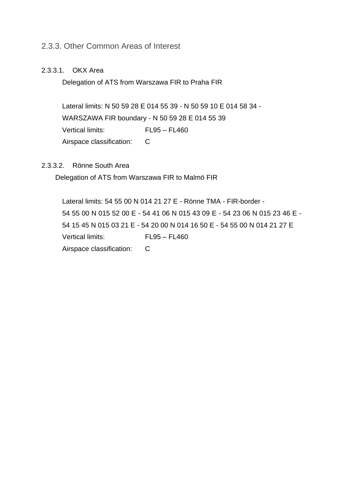#### <span id="page-13-0"></span>2.3.3. Other Common Areas of Interest

#### 2.3.3.1. OKX Area

Delegation of ATS from Warszawa FIR to Praha FIR

Lateral limits: N 50 59 28 E 014 55 39 - N 50 59 10 E 014 58 34 - WARSZAWA FIR boundary - N 50 59 28 E 014 55 39 Vertical limits: FL95 – FL460 Airspace classification: C

#### 2.3.3.2. Rönne South Area

Delegation of ATS from Warszawa FIR to Malmö FIR

Lateral limits: 54 55 00 N 014 21 27 E - Rönne TMA - FIR-border - 54 55 00 N 015 52 00 E - 54 41 06 N 015 43 09 E - 54 23 06 N 015 23 46 E - 54 15 45 N 015 03 21 E - 54 20 00 N 014 16 50 E - 54 55 00 N 014 21 27 E Vertical limits: FL95 – FL460 Airspace classification: C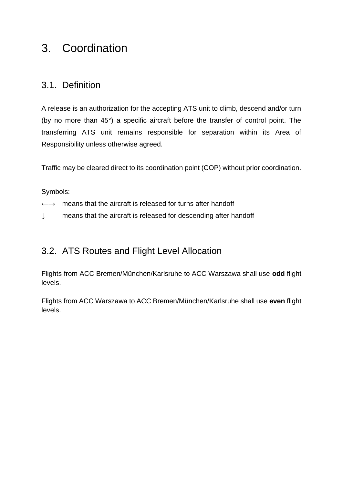# <span id="page-14-0"></span>3. Coordination

### <span id="page-14-1"></span>3.1. Definition

A release is an authorization for the accepting ATS unit to climb, descend and/or turn (by no more than 45°) a specific aircraft before the transfer of control point. The transferring ATS unit remains responsible for separation within its Area of Responsibility unless otherwise agreed.

Traffic may be cleared direct to its coordination point (COP) without prior coordination.

Symbols:

- ←→ means that the aircraft is released for turns after handoff
- ↓ means that the aircraft is released for descending after handoff

# <span id="page-14-2"></span>3.2. ATS Routes and Flight Level Allocation

Flights from ACC Bremen/München/Karlsruhe to ACC Warszawa shall use **odd** flight levels.

Flights from ACC Warszawa to ACC Bremen/München/Karlsruhe shall use **even** flight levels.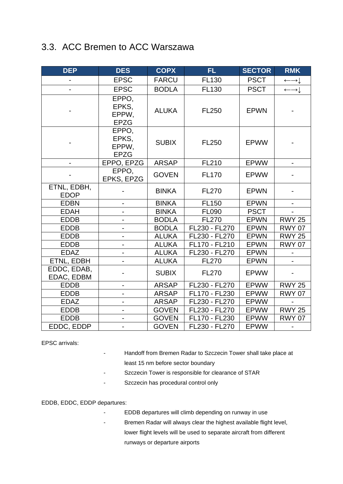# <span id="page-15-0"></span>3.3. ACC Bremen to ACC Warszawa

| <b>DEP</b>                 | <b>DES</b>                             | <b>COPX</b>  | FL.           | <b>SECTOR</b> | <b>RMK</b>                       |
|----------------------------|----------------------------------------|--------------|---------------|---------------|----------------------------------|
|                            | <b>EPSC</b>                            | <b>FARCU</b> | <b>FL130</b>  | <b>PSCT</b>   | $\longleftrightarrow \downarrow$ |
|                            | <b>EPSC</b>                            | <b>BODLA</b> | <b>FL130</b>  | <b>PSCT</b>   | $\longleftrightarrow \downarrow$ |
|                            | EPPO,<br>EPKS,<br>EPPW,<br><b>EPZG</b> | <b>ALUKA</b> | <b>FL250</b>  | <b>EPWN</b>   |                                  |
|                            | EPPO,<br>EPKS,<br>EPPW,<br><b>EPZG</b> | <b>SUBIX</b> | <b>FL250</b>  | <b>EPWW</b>   |                                  |
|                            | EPPO, EPZG                             | <b>ARSAP</b> | <b>FL210</b>  | EPWW          |                                  |
|                            | EPPO,<br>EPKS, EPZG                    | <b>GOVEN</b> | <b>FL170</b>  | <b>EPWW</b>   |                                  |
| ETNL, EDBH,<br><b>EDOP</b> |                                        | <b>BINKA</b> | <b>FL270</b>  | <b>EPWN</b>   |                                  |
| <b>EDBN</b>                |                                        | <b>BINKA</b> | <b>FL150</b>  | <b>EPWN</b>   |                                  |
| <b>EDAH</b>                |                                        | <b>BINKA</b> | <b>FL090</b>  | <b>PSCT</b>   |                                  |
| <b>EDDB</b>                | $\qquad \qquad \blacksquare$           | <b>BODLA</b> | <b>FL270</b>  | <b>EPWN</b>   | <b>RWY 25</b>                    |
| <b>EDDB</b>                |                                        | <b>BODLA</b> | FL230 - FL270 | <b>EPWN</b>   | <b>RWY 07</b>                    |
| <b>EDDB</b>                |                                        | <b>ALUKA</b> | FL230 - FL270 | <b>EPWN</b>   | <b>RWY 25</b>                    |
| <b>EDDB</b>                | $\blacksquare$                         | <b>ALUKA</b> | FL170 - FL210 | <b>EPWN</b>   | <b>RWY 07</b>                    |
| <b>EDAZ</b>                |                                        | <b>ALUKA</b> | FL230 - FL270 | <b>EPWN</b>   |                                  |
| ETNL, EDBH                 |                                        | <b>ALUKA</b> | <b>FL270</b>  | <b>EPWN</b>   |                                  |
| EDDC, EDAB,<br>EDAC, EDBM  |                                        | <b>SUBIX</b> | <b>FL270</b>  | <b>EPWW</b>   |                                  |
| <b>EDDB</b>                | $\qquad \qquad \blacksquare$           | <b>ARSAP</b> | FL230 - FL270 | <b>EPWW</b>   | <b>RWY 25</b>                    |
| <b>EDDB</b>                | $\overline{\phantom{0}}$               | <b>ARSAP</b> | FL170 - FL230 | EPWW          | <b>RWY 07</b>                    |
| <b>EDAZ</b>                |                                        | <b>ARSAP</b> | FL230 - FL270 | <b>EPWW</b>   |                                  |
| <b>EDDB</b>                |                                        | <b>GOVEN</b> | FL230 - FL270 | <b>EPWW</b>   | <b>RWY 25</b>                    |
| <b>EDDB</b>                |                                        | <b>GOVEN</b> | FL170 - FL230 | EPWW          | <b>RWY 07</b>                    |
| EDDC, EDDP                 |                                        | <b>GOVEN</b> | FL230 - FL270 | <b>EPWW</b>   |                                  |

EPSC arrivals:

- Handoff from Bremen Radar to Szczecin Tower shall take place at least 15 nm before sector boundary
- Szczecin Tower is responsible for clearance of STAR
- Szczecin has procedural control only

EDDB, EDDC, EDDP departures:

- EDDB departures will climb depending on runway in use
- Bremen Radar will always clear the highest available flight level, lower flight levels will be used to separate aircraft from different runways or departure airports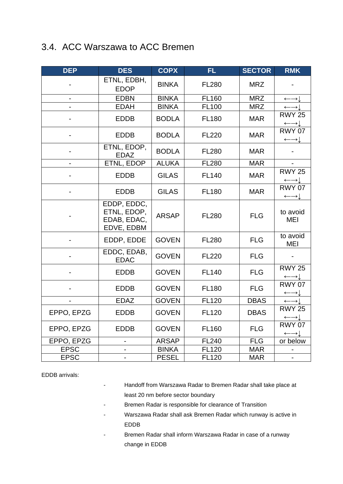# <span id="page-16-0"></span>3.4. ACC Warszawa to ACC Bremen

| <b>DEP</b>               | <b>DES</b>                                              | <b>COPX</b>  | <b>FL</b>    | <b>SECTOR</b> | <b>RMK</b>                                        |
|--------------------------|---------------------------------------------------------|--------------|--------------|---------------|---------------------------------------------------|
|                          | ETNL, EDBH,<br><b>EDOP</b>                              | <b>BINKA</b> | <b>FL280</b> | <b>MRZ</b>    |                                                   |
|                          | <b>EDBN</b>                                             | <b>BINKA</b> | <b>FL160</b> | <b>MRZ</b>    | $\longleftrightarrow$                             |
|                          | <b>EDAH</b>                                             | <b>BINKA</b> | <b>FL100</b> | <b>MRZ</b>    | $\leftarrow$                                      |
|                          | <b>EDDB</b>                                             | <b>BODLA</b> | <b>FL180</b> | <b>MAR</b>    | <b>RWY 25</b><br>$\longleftrightarrow$            |
|                          | <b>EDDB</b>                                             | <b>BODLA</b> | <b>FL220</b> | <b>MAR</b>    | <b>RWY 07</b><br>$\longleftrightarrow$            |
|                          | ETNL, EDOP,<br><b>EDAZ</b>                              | <b>BODLA</b> | <b>FL280</b> | <b>MAR</b>    |                                                   |
|                          | ETNL, EDOP                                              | <b>ALUKA</b> | <b>FL280</b> | <b>MAR</b>    |                                                   |
|                          | <b>EDDB</b>                                             | <b>GILAS</b> | <b>FL140</b> | <b>MAR</b>    | <b>RWY 25</b><br>$\longleftrightarrow \downarrow$ |
|                          | <b>EDDB</b>                                             | <b>GILAS</b> | <b>FL180</b> | <b>MAR</b>    | <b>RWY 07</b><br>$\longleftrightarrow \downarrow$ |
|                          | EDDP, EDDC,<br>ETNL, EDOP,<br>EDAB, EDAC,<br>EDVE, EDBM | <b>ARSAP</b> | <b>FL280</b> | <b>FLG</b>    | to avoid<br>MEI                                   |
|                          | EDDP, EDDE                                              | <b>GOVEN</b> | <b>FL280</b> | <b>FLG</b>    | to avoid<br>MEI                                   |
|                          | EDDC, EDAB,<br><b>EDAC</b>                              | <b>GOVEN</b> | <b>FL220</b> | <b>FLG</b>    |                                                   |
|                          | <b>EDDB</b>                                             | <b>GOVEN</b> | <b>FL140</b> | <b>FLG</b>    | <b>RWY 25</b><br>$\longleftrightarrow \downarrow$ |
|                          | <b>EDDB</b>                                             | <b>GOVEN</b> | <b>FL180</b> | <b>FLG</b>    | <b>RWY 07</b><br>$\longleftrightarrow$            |
| $\overline{\phantom{a}}$ | <b>EDAZ</b>                                             | <b>GOVEN</b> | <b>FL120</b> | <b>DBAS</b>   | $\longleftrightarrow$ $\vdash$                    |
| EPPO, EPZG               | <b>EDDB</b>                                             | <b>GOVEN</b> | <b>FL120</b> | <b>DBAS</b>   | <b>RWY 25</b><br>$\longleftrightarrow$            |
| EPPO, EPZG               | <b>EDDB</b>                                             | <b>GOVEN</b> | <b>FL160</b> | <b>FLG</b>    | <b>RWY 07</b><br>$\longleftrightarrow$            |
| EPPO, EPZG               |                                                         | <b>ARSAP</b> | <b>FL240</b> | <b>FLG</b>    | or below                                          |
| <b>EPSC</b>              |                                                         | <b>BINKA</b> | <b>FL120</b> | <b>MAR</b>    |                                                   |
| <b>EPSC</b>              |                                                         | <b>PESEL</b> | <b>FL120</b> | <b>MAR</b>    |                                                   |

EDDB arrivals:

- Handoff from Warszawa Radar to Bremen Radar shall take place at least 20 nm before sector boundary
- Bremen Radar is responsible for clearance of Transition
- Warszawa Radar shall ask Bremen Radar which runway is active in EDDB
- Bremen Radar shall inform Warszawa Radar in case of a runway change in EDDB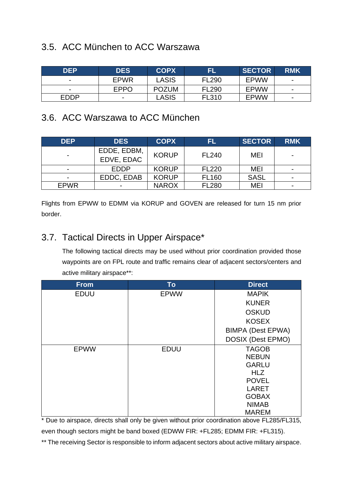# <span id="page-17-0"></span>3.5. ACC München to ACC Warszawa

| <b>DEP</b>               | <b>DES</b>  | <b>COPX</b>  | 'EL          | SECTOR      | <b>RMK</b>               |
|--------------------------|-------------|--------------|--------------|-------------|--------------------------|
| -                        | <b>EPWR</b> | LASIS        | <b>FL290</b> | <b>EPWW</b> | $\blacksquare$           |
| $\overline{\phantom{a}}$ | <b>EPPO</b> | <b>POZUM</b> | <b>FL290</b> | <b>EPWW</b> | $\overline{\phantom{0}}$ |
| <b>EDDP</b>              |             | LASIS        | FL310        | <b>EPWW</b> | $\blacksquare$           |

## <span id="page-17-1"></span>3.6. ACC Warszawa to ACC München

| <b>DEP</b>     | <b>DES</b>                | <b>COPX</b>  | FL           | <b>SECTOR</b> | <b>RMK</b> |
|----------------|---------------------------|--------------|--------------|---------------|------------|
| ۰              | EDDE, EDBM,<br>EDVE, EDAC | <b>KORUP</b> | FL240        | MEI           |            |
| $\blacksquare$ | <b>EDDP</b>               | <b>KORUP</b> | <b>FL220</b> | MEI           |            |
| $\blacksquare$ | EDDC, EDAB                | <b>KORUP</b> | <b>FL160</b> | <b>SASL</b>   |            |
| <b>EPWR</b>    |                           | <b>NAROX</b> | <b>FL280</b> | MEI           |            |

Flights from EPWW to EDMM via KORUP and GOVEN are released for turn 15 nm prior border.

# <span id="page-17-2"></span>3.7. Tactical Directs in Upper Airspace\*

The following tactical directs may be used without prior coordination provided those waypoints are on FPL route and traffic remains clear of adjacent sectors/centers and active military airspace\*\*:

| <b>From</b> | <b>To</b>   | <b>Direct</b>            |
|-------------|-------------|--------------------------|
| <b>EDUU</b> | <b>EPWW</b> | <b>MAPIK</b>             |
|             |             | <b>KUNER</b>             |
|             |             | <b>OSKUD</b>             |
|             |             | <b>KOSEX</b>             |
|             |             | <b>BIMPA (Dest EPWA)</b> |
|             |             | <b>DOSIX (Dest EPMO)</b> |
| <b>EPWW</b> | <b>EDUU</b> | <b>TAGOB</b>             |
|             |             | <b>NEBUN</b>             |
|             |             | <b>GARLU</b>             |
|             |             | <b>HLZ</b>               |
|             |             | <b>POVEL</b>             |
|             |             | <b>LARET</b>             |
|             |             | <b>GOBAX</b>             |
|             |             | <b>NIMAB</b>             |
|             |             | <b>MAREM</b>             |

\* Due to airspace, directs shall only be given without prior coordination above FL285/FL315, even though sectors might be band boxed (EDWW FIR: +FL285; EDMM FIR: +FL315).

\*\* The receiving Sector is responsible to inform adjacent sectors about active military airspace.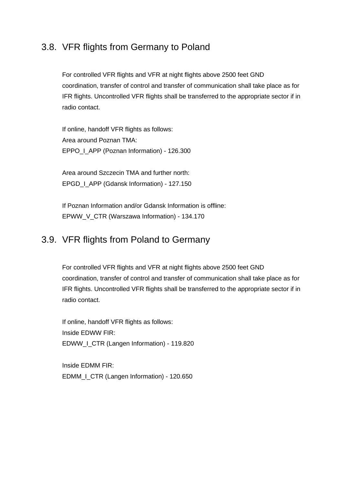### <span id="page-18-0"></span>3.8. VFR flights from Germany to Poland

For controlled VFR flights and VFR at night flights above 2500 feet GND coordination, transfer of control and transfer of communication shall take place as for IFR flights. Uncontrolled VFR flights shall be transferred to the appropriate sector if in radio contact.

If online, handoff VFR flights as follows: Area around Poznan TMA: EPPO\_I\_APP (Poznan Information) - 126.300

Area around Szczecin TMA and further north: EPGD\_I\_APP (Gdansk Information) - 127.150

If Poznan Information and/or Gdansk Information is offline: EPWW\_V\_CTR (Warszawa Information) - 134.170

### <span id="page-18-1"></span>3.9. VFR flights from Poland to Germany

For controlled VFR flights and VFR at night flights above 2500 feet GND coordination, transfer of control and transfer of communication shall take place as for IFR flights. Uncontrolled VFR flights shall be transferred to the appropriate sector if in radio contact.

If online, handoff VFR flights as follows: Inside EDWW FIR: EDWW I CTR (Langen Information) - 119.820

Inside EDMM FIR: EDMM\_I\_CTR (Langen Information) - 120.650